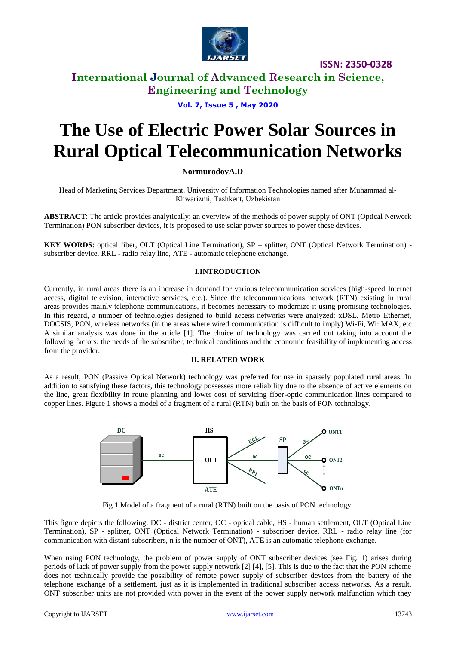

**ISSN: 2350-0328**

# **International Journal of Advanced Research in Science, Engineering and Technology**

# **Vol. 7, Issue 5 , May 2020**

# **The Use of Electric Power Solar Sources in Rural Optical Telecommunication Networks**

# **NormurodovA.D**

Head of Marketing Services Department, University of Information Technologies named after Muhammad al-Khwarizmi, Tashkent, Uzbekistan

**ABSTRACT**: The article provides analytically: an overview of the methods of power supply of ONT (Optical Network Termination) PON subscriber devices, it is proposed to use solar power sources to power these devices.

**KEY WORDS**: optical fiber, OLT (Optical Line Termination), SP – splitter, ONT (Optical Network Termination) subscriber device, RRL - radio relay line, ATE - automatic telephone exchange.

## **I.INTRODUCTION**

Currently, in rural areas there is an increase in demand for various telecommunication services (high-speed Internet access, digital television, interactive services, etc.). Since the telecommunications network (RTN) existing in rural areas provides mainly telephone communications, it becomes necessary to modernize it using promising technologies. In this regard, a number of technologies designed to build access networks were analyzed: хDSL, Metro Ethernet, DOCSIS, PON, wireless networks (in the areas where wired communication is difficult to imply) Wi-Fi, Wi: MAX, etc. A similar analysis was done in the article [1]. The choice of technology was carried out taking into account the following factors: the needs of the subscriber, technical conditions and the economic feasibility of implementing access from the provider.

## **II. RELATED WORK**

As a result, PON (Passive Optical Network) technology was preferred for use in sparsely populated rural areas. In addition to satisfying these factors, this technology possesses more reliability due to the absence of active elements on the line, great flexibility in route planning and lower cost of servicing fiber-optic communication lines compared to copper lines. Figure 1 shows a model of a fragment of a rural (RTN) built on the basis of PON technology.



Fig 1.Model of a fragment of a rural (RTN) built on the basis of PON technology.

This figure depicts the following: DC - district center, OC - optical cable, HS - human settlement, OLT (Optical Line Termination), SP - splitter, ONT (Optical Network Termination) - subscriber device, RRL - radio relay line (for communication with distant subscribers, n is the number of ONT), ATE is an automatic telephone exchange.

When using PON technology, the problem of power supply of ONT subscriber devices (see Fig. 1) arises during periods of lack of power supply from the power supply network [2] [4], [5]. This is due to the fact that the PON scheme does not technically provide the possibility of remote power supply of subscriber devices from the battery of the telephone exchange of a settlement, just as it is implemented in traditional subscriber access networks. As a result, ONT subscriber units are not provided with power in the event of the power supply network malfunction which they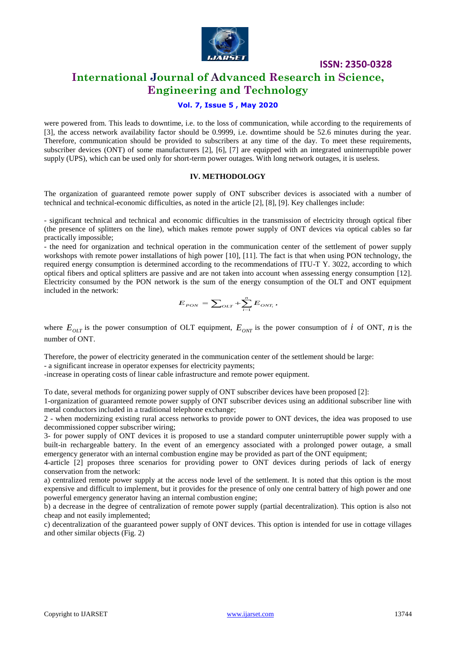

**ISSN: 2350-0328**

# **International Journal of Advanced Research in Science, Engineering and Technology**

## **Vol. 7, Issue 5 , May 2020**

were powered from. This leads to downtime, i.e. to the loss of communication, while according to the requirements of [3], the access network availability factor should be 0.9999, i.e. downtime should be 52.6 minutes during the year. Therefore, communication should be provided to subscribers at any time of the day. To meet these requirements, subscriber devices (ONT) of some manufacturers [2], [6], [7] are equipped with an integrated uninterruptible power supply (UPS), which can be used only for short-term power outages. With long network outages, it is useless.

#### **IV. METHODOLOGY**

The organization of guaranteed remote power supply of ONT subscriber devices is associated with a number of technical and technical-economic difficulties, as noted in the article [2], [8], [9]. Key challenges include:

- significant technical and technical and economic difficulties in the transmission of electricity through optical fiber (the presence of splitters on the line), which makes remote power supply of ONT devices via optical cables so far practically impossible;

- the need for organization and technical operation in the communication center of the settlement of power supply workshops with remote power installations of high power [10], [11]. The fact is that when using PON technology, the required energy consumption is determined according to the recommendations of ITU-T Y. 3022, according to which optical fibers and optical splitters are passive and are not taken into account when assessing energy consumption [12]. Electricity consumed by the PON network is the sum of the energy consumption of the OLT and ONT equipment included in the network:

$$
E_{\it{PON}} = \sum\nolimits_{\it{OLT}} + \sum_{i=1}^{n} E_{\it{ONT}_i},
$$

where  $E_{OLT}$  is the power consumption of OLT equipment,  $E_{ONT}$  is the power consumption of i of ONT, n is the number of ONT.

Therefore, the power of electricity generated in the communication center of the settlement should be large:

- a significant increase in operator expenses for electricity payments;

-increase in operating costs of linear cable infrastructure and remote power equipment.

To date, several methods for organizing power supply of ONT subscriber devices have been proposed [2]:

1-organization of guaranteed remote power supply of ONT subscriber devices using an additional subscriber line with metal conductors included in a traditional telephone exchange;

2 - when modernizing existing rural access networks to provide power to ONT devices, the idea was proposed to use decommissioned copper subscriber wiring;

3- for power supply of ONT devices it is proposed to use a standard computer uninterruptible power supply with a built-in rechargeable battery. In the event of an emergency associated with a prolonged power outage, a small emergency generator with an internal combustion engine may be provided as part of the ONT equipment;

4-article [2] proposes three scenarios for providing power to ONT devices during periods of lack of energy conservation from the network:

a) centralized remote power supply at the access node level of the settlement. It is noted that this option is the most expensive and difficult to implement, but it provides for the presence of only one central battery of high power and one powerful emergency generator having an internal combustion engine;

b) a decrease in the degree of centralization of remote power supply (partial decentralization). This option is also not cheap and not easily implemented;

c) decentralization of the guaranteed power supply of ONT devices. This option is intended for use in cottage villages and other similar objects (Fig. 2)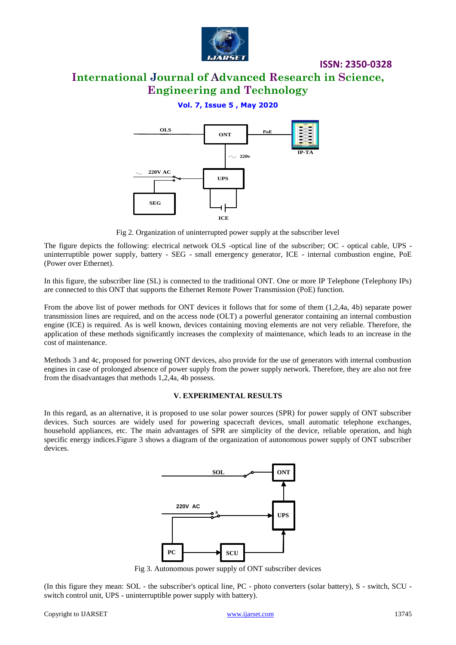

# **ISSN: 2350-0328**

# **International Journal of Advanced Research in Science, Engineering and Technology**

# **Vol. 7, Issue 5 , May 2020**



Fig 2. Organization of uninterrupted power supply at the subscriber level

The figure depicts the following: electrical network OLS -optical line of the subscriber; OC - optical cable, UPS uninterruptible power supply, battery - SEG - small emergency generator, ICE - internal combustion engine, PoE (Power over Ethernet).

In this figure, the subscriber line (SL) is connected to the traditional ONT. One or more IP Telephone (Telephony IPs) are connected to this ONT that supports the Ethernet Remote Power Transmission (PoE) function.

From the above list of power methods for ONT devices it follows that for some of them (1,2,4a, 4b) separate power transmission lines are required, and on the access node (OLT) a powerful generator containing an internal combustion engine (ICE) is required. As is well known, devices containing moving elements are not very reliable. Therefore, the application of these methods significantly increases the complexity of maintenance, which leads to an increase in the cost of maintenance.

Methods 3 and 4c, proposed for powering ONT devices, also provide for the use of generators with internal combustion engines in case of prolonged absence of power supply from the power supply network. Therefore, they are also not free from the disadvantages that methods 1,2,4a, 4b possess.

#### **V. EXPERIMENTAL RESULTS**

In this regard, as an alternative, it is proposed to use solar power sources (SPR) for power supply of ONT subscriber devices. Such sources are widely used for powering spacecraft devices, small automatic telephone exchanges, household appliances, etc. The main advantages of SPR are simplicity of the device, reliable operation, and high specific energy indices.Figure 3 shows a diagram of the organization of autonomous power supply of ONT subscriber devices.



Fig 3. Autonomous power supply of ONT subscriber devices

(In this figure they mean: SOL - the subscriber's optical line, PC - photo converters (solar battery), S - switch, SCU switch control unit, UPS - uninterruptible power supply with battery).